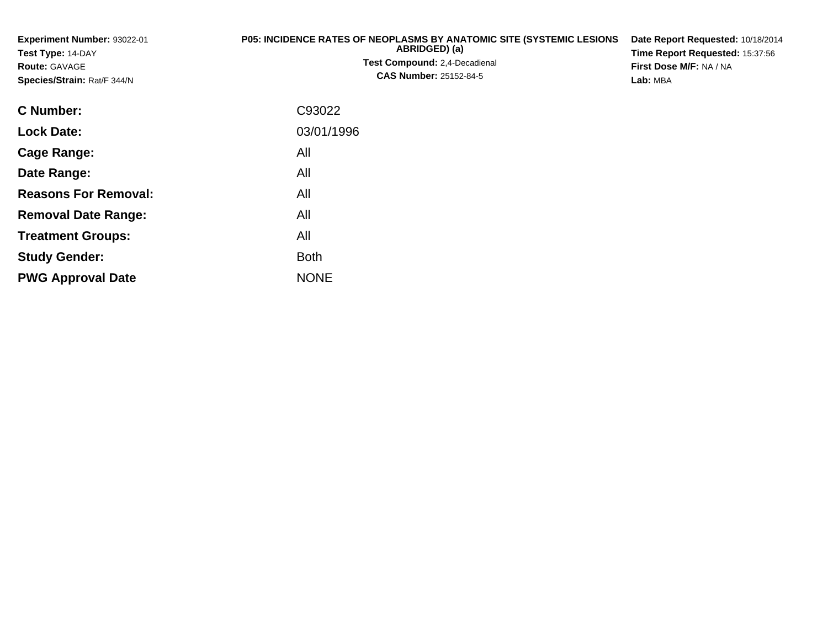**Experiment Number:** 93022-01**Test Type:** 14-DAY**Route:** GAVAGE **Species/Strain:** Rat/F 344/N**P05: INCIDENCE RATES OF NEOPLASMS BY ANATOMIC SITE (SYSTEMIC LESIONSABRIDGED) (a)Test Compound:** 2,4-Decadienal **CAS Number:** 25152-84-5**Date Report Requested:** 10/18/2014**Time Report Requested:** 15:37:56**First Dose M/F:** NA / NA**Lab:** MBA**C Number:** C93022**Lock Date:**03/01/1996

**Cage Range:**

**Date Range:**

**Reasons For Removal:**

**Removal Date Range:**

**Treatment Groups:**

**PWG Approval Date**

**Study Gender:**

All

All

All

: All

NONE

All

**Example 1** South 2 and 2 and 2 and 2 and 2 and 2 and 2 and 2 and 2 and 2 and 2 and 2 and 2 and 2 and 2 and 2 an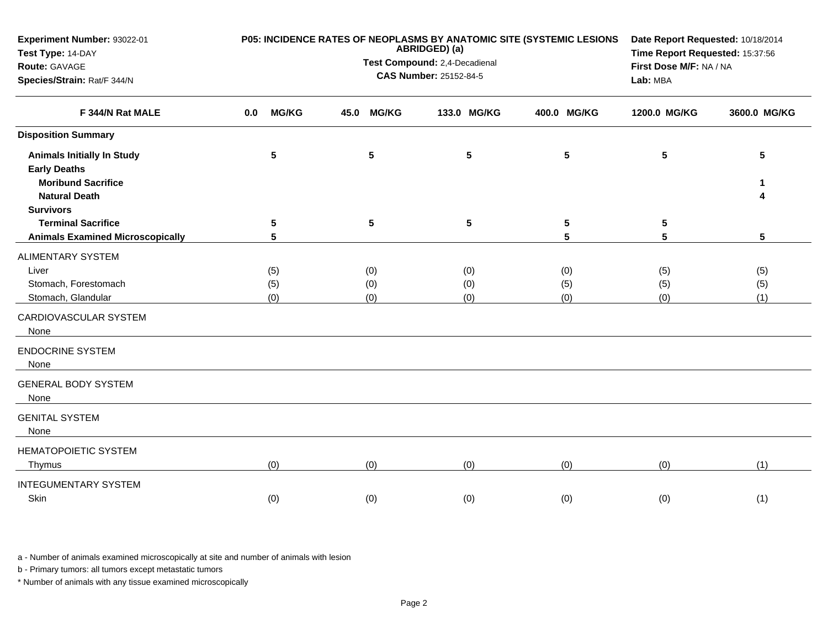| Experiment Number: 93022-01<br>Test Type: 14-DAY  |                     |                               | ABRIDGED) (a)           | P05: INCIDENCE RATES OF NEOPLASMS BY ANATOMIC SITE (SYSTEMIC LESIONS | Time Report Requested: 15:37:56 | Date Report Requested: 10/18/2014 |  |
|---------------------------------------------------|---------------------|-------------------------------|-------------------------|----------------------------------------------------------------------|---------------------------------|-----------------------------------|--|
| Route: GAVAGE                                     |                     | Test Compound: 2,4-Decadienal | First Dose M/F: NA / NA |                                                                      |                                 |                                   |  |
| Species/Strain: Rat/F 344/N<br>F 344/N Rat MALE   |                     | <b>CAS Number: 25152-84-5</b> | Lab: MBA                |                                                                      |                                 |                                   |  |
|                                                   | <b>MG/KG</b><br>0.0 | <b>MG/KG</b><br>45.0          | 133.0 MG/KG             | 400.0 MG/KG                                                          | 1200.0 MG/KG                    | 3600.0 MG/KG                      |  |
| <b>Disposition Summary</b>                        |                     |                               |                         |                                                                      |                                 |                                   |  |
| <b>Animals Initially In Study</b>                 | 5                   | 5                             | 5                       | 5                                                                    | 5                               | 5                                 |  |
| <b>Early Deaths</b>                               |                     |                               |                         |                                                                      |                                 |                                   |  |
| <b>Moribund Sacrifice</b><br><b>Natural Death</b> |                     |                               |                         |                                                                      |                                 | 1<br>4                            |  |
| <b>Survivors</b>                                  |                     |                               |                         |                                                                      |                                 |                                   |  |
| <b>Terminal Sacrifice</b>                         | $5\phantom{.0}$     | $5\phantom{.0}$               | 5                       | 5                                                                    | 5                               |                                   |  |
| <b>Animals Examined Microscopically</b>           | 5                   |                               |                         | 5                                                                    | 5                               | 5                                 |  |
| <b>ALIMENTARY SYSTEM</b>                          |                     |                               |                         |                                                                      |                                 |                                   |  |
| Liver                                             | (5)                 | (0)                           | (0)                     | (0)                                                                  | (5)                             | (5)                               |  |
| Stomach, Forestomach                              | (5)                 | (0)                           | (0)                     | (5)                                                                  | (5)                             | (5)                               |  |
| Stomach, Glandular                                | (0)                 | (0)                           | (0)                     | (0)                                                                  | (0)                             | (1)                               |  |
| CARDIOVASCULAR SYSTEM<br>None                     |                     |                               |                         |                                                                      |                                 |                                   |  |
| <b>ENDOCRINE SYSTEM</b><br>None                   |                     |                               |                         |                                                                      |                                 |                                   |  |
| <b>GENERAL BODY SYSTEM</b><br>None                |                     |                               |                         |                                                                      |                                 |                                   |  |
| <b>GENITAL SYSTEM</b><br>None                     |                     |                               |                         |                                                                      |                                 |                                   |  |
| <b>HEMATOPOIETIC SYSTEM</b><br>Thymus             | (0)                 | (0)                           | (0)                     | (0)                                                                  | (0)                             | (1)                               |  |
| <b>INTEGUMENTARY SYSTEM</b>                       |                     |                               |                         |                                                                      |                                 |                                   |  |
| Skin                                              | (0)                 | (0)                           | (0)                     | (0)                                                                  | (0)                             | (1)                               |  |

a - Number of animals examined microscopically at site and number of animals with lesion

b - Primary tumors: all tumors except metastatic tumors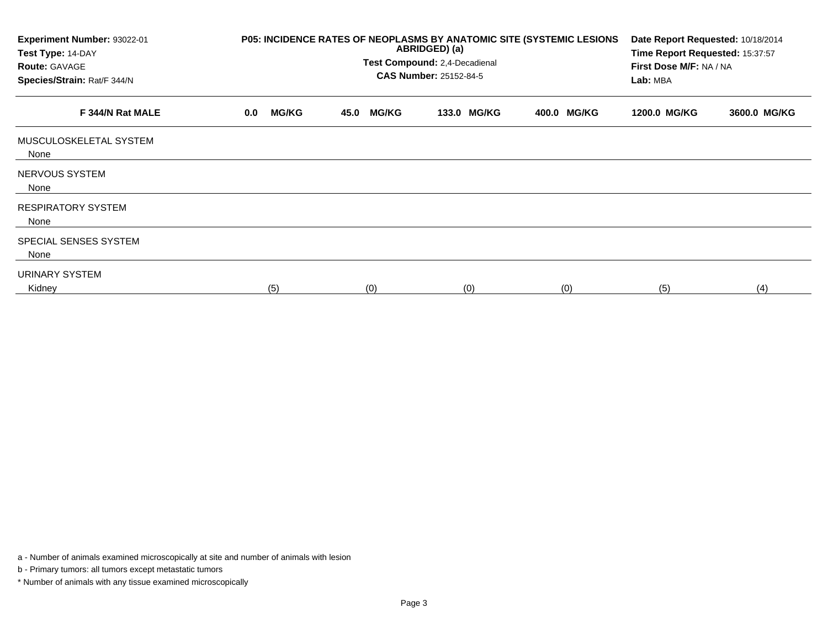| Experiment Number: 93022-01<br>Test Type: 14-DAY<br><b>Route: GAVAGE</b><br>Species/Strain: Rat/F 344/N | P05: INCIDENCE RATES OF NEOPLASMS BY ANATOMIC SITE (SYSTEMIC LESIONS | Date Report Requested: 10/18/2014<br>Time Report Requested: 15:37:57<br>First Dose M/F: NA / NA<br>Lab: MBA |             |             |              |              |
|---------------------------------------------------------------------------------------------------------|----------------------------------------------------------------------|-------------------------------------------------------------------------------------------------------------|-------------|-------------|--------------|--------------|
| F 344/N Rat MALE                                                                                        | <b>MG/KG</b><br>0.0                                                  | <b>MG/KG</b><br>45.0                                                                                        | 133.0 MG/KG | 400.0 MG/KG | 1200.0 MG/KG | 3600.0 MG/KG |
| MUSCULOSKELETAL SYSTEM<br>None                                                                          |                                                                      |                                                                                                             |             |             |              |              |
| NERVOUS SYSTEM<br>None                                                                                  |                                                                      |                                                                                                             |             |             |              |              |
| <b>RESPIRATORY SYSTEM</b><br>None                                                                       |                                                                      |                                                                                                             |             |             |              |              |
| SPECIAL SENSES SYSTEM<br>None                                                                           |                                                                      |                                                                                                             |             |             |              |              |
| <b>URINARY SYSTEM</b><br>Kidney                                                                         | (5)                                                                  | (0)                                                                                                         | (0)         | (0)         | (5)          | (4)          |

a - Number of animals examined microscopically at site and number of animals with lesion

b - Primary tumors: all tumors except metastatic tumors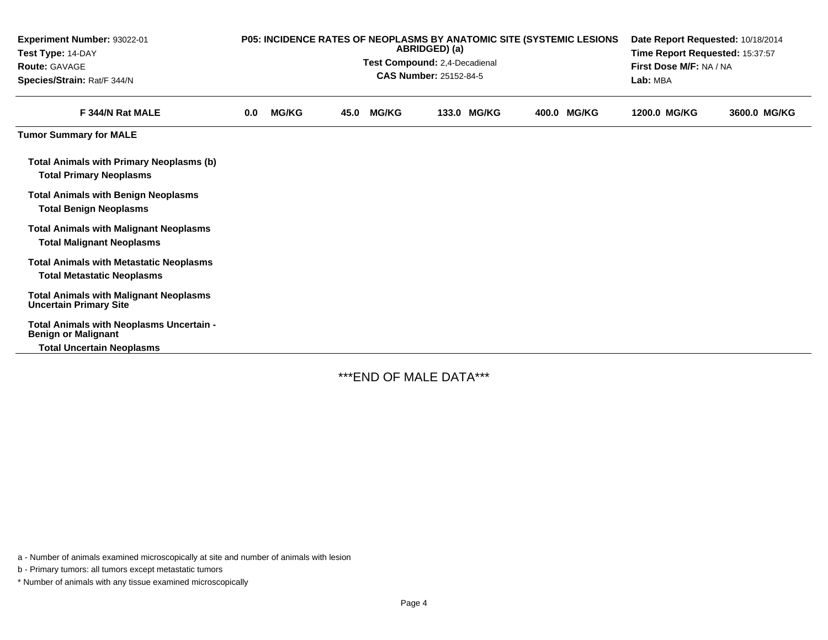| Experiment Number: 93022-01<br>Test Type: 14-DAY<br><b>Route: GAVAGE</b><br>Species/Strain: Rat/F 344/N    |     | P05: INCIDENCE RATES OF NEOPLASMS BY ANATOMIC SITE (SYSTEMIC LESIONS | Test Compound: 2,4-Decadienal | Date Report Requested: 10/18/2014<br>Time Report Requested: 15:37:57<br>First Dose M/F: NA / NA<br>Lab: MBA |             |             |              |              |
|------------------------------------------------------------------------------------------------------------|-----|----------------------------------------------------------------------|-------------------------------|-------------------------------------------------------------------------------------------------------------|-------------|-------------|--------------|--------------|
| F 344/N Rat MALE                                                                                           | 0.0 | <b>MG/KG</b>                                                         | 45.0                          | <b>MG/KG</b>                                                                                                | 133.0 MG/KG | 400.0 MG/KG | 1200.0 MG/KG | 3600.0 MG/KG |
| <b>Tumor Summary for MALE</b>                                                                              |     |                                                                      |                               |                                                                                                             |             |             |              |              |
| <b>Total Animals with Primary Neoplasms (b)</b><br><b>Total Primary Neoplasms</b>                          |     |                                                                      |                               |                                                                                                             |             |             |              |              |
| <b>Total Animals with Benign Neoplasms</b><br><b>Total Benign Neoplasms</b>                                |     |                                                                      |                               |                                                                                                             |             |             |              |              |
| <b>Total Animals with Malignant Neoplasms</b><br><b>Total Malignant Neoplasms</b>                          |     |                                                                      |                               |                                                                                                             |             |             |              |              |
| <b>Total Animals with Metastatic Neoplasms</b><br><b>Total Metastatic Neoplasms</b>                        |     |                                                                      |                               |                                                                                                             |             |             |              |              |
| <b>Total Animals with Malignant Neoplasms</b><br><b>Uncertain Primary Site</b>                             |     |                                                                      |                               |                                                                                                             |             |             |              |              |
| Total Animals with Neoplasms Uncertain -<br><b>Benign or Malignant</b><br><b>Total Uncertain Neoplasms</b> |     |                                                                      |                               |                                                                                                             |             |             |              |              |

\*\*\*END OF MALE DATA\*\*\*

a - Number of animals examined microscopically at site and number of animals with lesion

b - Primary tumors: all tumors except metastatic tumors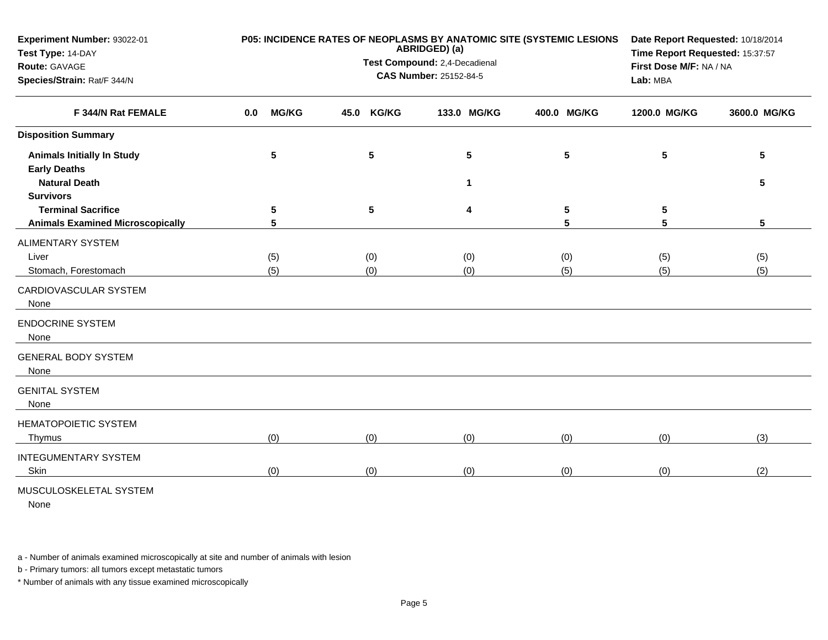| Experiment Number: 93022-01<br>Test Type: 14-DAY<br>Route: GAVAGE<br>Species/Strain: Rat/F 344/N |                     | P05: INCIDENCE RATES OF NEOPLASMS BY ANATOMIC SITE (SYSTEMIC LESIONS<br>ABRIDGED) (a)<br>Test Compound: 2,4-Decadienal<br><b>CAS Number: 25152-84-5</b> | Date Report Requested: 10/18/2014<br>Time Report Requested: 15:37:57<br>First Dose M/F: NA / NA<br>Lab: MBA |             |                 |              |
|--------------------------------------------------------------------------------------------------|---------------------|---------------------------------------------------------------------------------------------------------------------------------------------------------|-------------------------------------------------------------------------------------------------------------|-------------|-----------------|--------------|
| F 344/N Rat FEMALE                                                                               | <b>MG/KG</b><br>0.0 | <b>KG/KG</b><br>45.0                                                                                                                                    | 133.0 MG/KG                                                                                                 | 400.0 MG/KG | 1200.0 MG/KG    | 3600.0 MG/KG |
| <b>Disposition Summary</b>                                                                       |                     |                                                                                                                                                         |                                                                                                             |             |                 |              |
| <b>Animals Initially In Study</b><br><b>Early Deaths</b>                                         | $5\phantom{1}$      | $5\phantom{.0}$                                                                                                                                         | $5\phantom{.0}$                                                                                             | 5           | $5\phantom{.0}$ | 5            |
| <b>Natural Death</b><br><b>Survivors</b>                                                         |                     |                                                                                                                                                         | 1                                                                                                           |             |                 | 5            |
| <b>Terminal Sacrifice</b><br><b>Animals Examined Microscopically</b>                             | 5<br>5              | $5\phantom{.0}$                                                                                                                                         | 4                                                                                                           | 5<br>5      | 5<br>5          | 5            |
| <b>ALIMENTARY SYSTEM</b><br>Liver<br>Stomach, Forestomach                                        | (5)<br>(5)          | (0)<br>(0)                                                                                                                                              | (0)<br>(0)                                                                                                  | (0)<br>(5)  | (5)<br>(5)      | (5)<br>(5)   |
| CARDIOVASCULAR SYSTEM<br>None                                                                    |                     |                                                                                                                                                         |                                                                                                             |             |                 |              |
| <b>ENDOCRINE SYSTEM</b><br>None                                                                  |                     |                                                                                                                                                         |                                                                                                             |             |                 |              |
| <b>GENERAL BODY SYSTEM</b><br>None                                                               |                     |                                                                                                                                                         |                                                                                                             |             |                 |              |
| <b>GENITAL SYSTEM</b><br>None                                                                    |                     |                                                                                                                                                         |                                                                                                             |             |                 |              |
| <b>HEMATOPOIETIC SYSTEM</b><br>Thymus                                                            | (0)                 | (0)                                                                                                                                                     | (0)                                                                                                         | (0)         | (0)             | (3)          |
| <b>INTEGUMENTARY SYSTEM</b><br>Skin                                                              | (0)                 | (0)                                                                                                                                                     | (0)                                                                                                         | (0)         | (0)             | (2)          |
| MUSCULOSKELETAL SYSTEM                                                                           |                     |                                                                                                                                                         |                                                                                                             |             |                 |              |

None

a - Number of animals examined microscopically at site and number of animals with lesion

b - Primary tumors: all tumors except metastatic tumors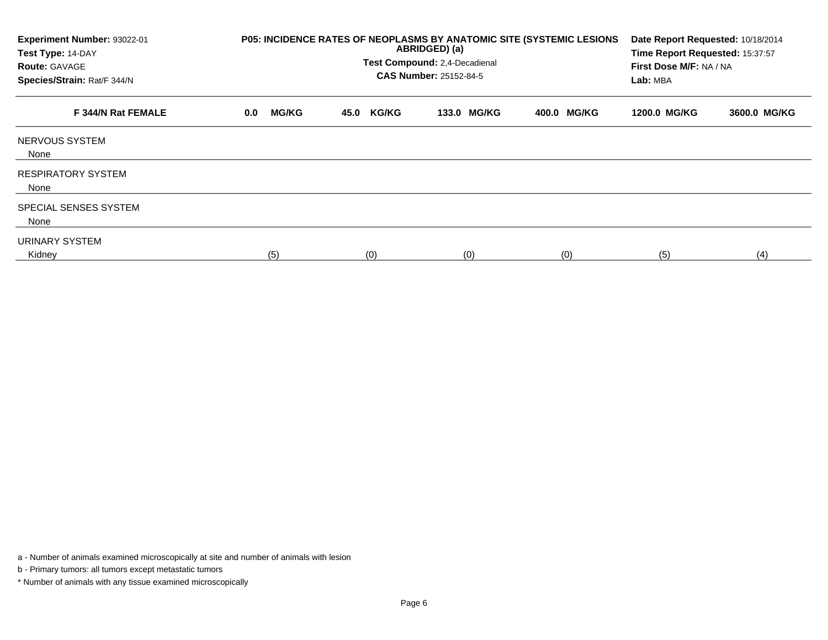| Experiment Number: 93022-01<br>Test Type: 14-DAY<br><b>Route: GAVAGE</b><br>Species/Strain: Rat/F 344/N | P05: INCIDENCE RATES OF NEOPLASMS BY ANATOMIC SITE (SYSTEMIC LESIONS | Date Report Requested: 10/18/2014<br>Time Report Requested: 15:37:57<br>First Dose M/F: NA / NA<br>Lab: MBA |             |             |              |              |
|---------------------------------------------------------------------------------------------------------|----------------------------------------------------------------------|-------------------------------------------------------------------------------------------------------------|-------------|-------------|--------------|--------------|
| F 344/N Rat FEMALE                                                                                      | <b>MG/KG</b><br>0.0                                                  | <b>KG/KG</b><br>45.0                                                                                        | 133.0 MG/KG | 400.0 MG/KG | 1200.0 MG/KG | 3600.0 MG/KG |
| NERVOUS SYSTEM<br>None                                                                                  |                                                                      |                                                                                                             |             |             |              |              |
| <b>RESPIRATORY SYSTEM</b><br>None                                                                       |                                                                      |                                                                                                             |             |             |              |              |
| SPECIAL SENSES SYSTEM<br>None                                                                           |                                                                      |                                                                                                             |             |             |              |              |
| <b>URINARY SYSTEM</b><br>Kidney                                                                         | (5)                                                                  | (0)                                                                                                         | (0)         | (0)         | (5)          | (4)          |

a - Number of animals examined microscopically at site and number of animals with lesion

b - Primary tumors: all tumors except metastatic tumors